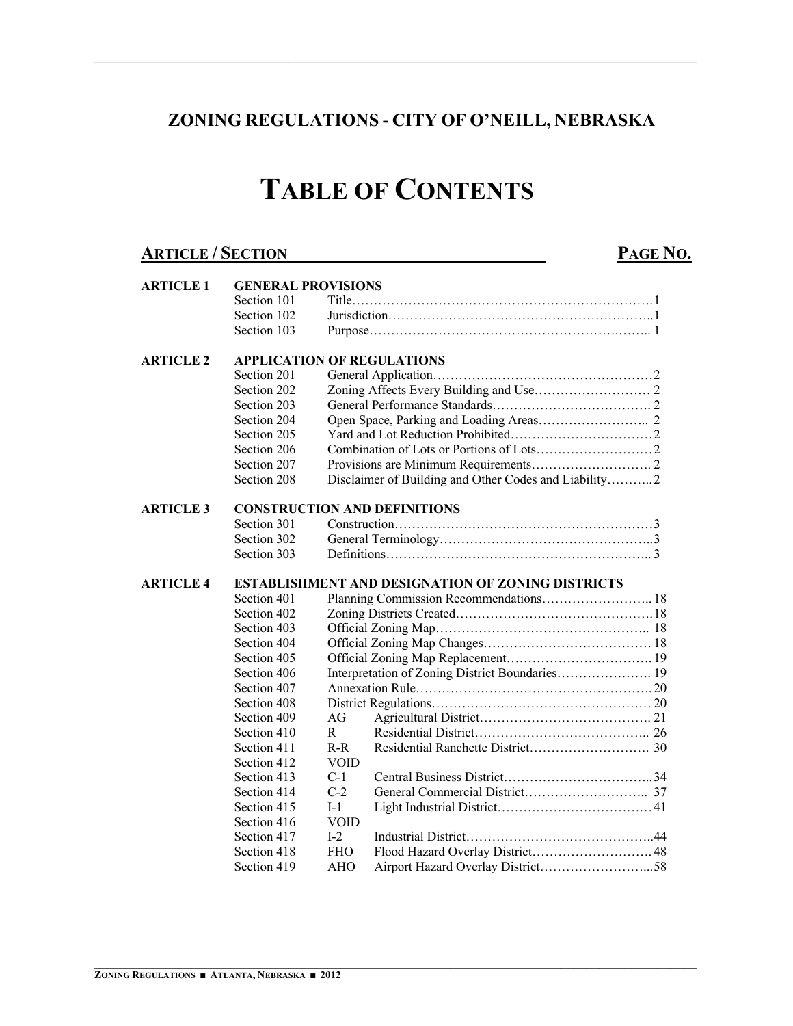## **ZONING REGULATIONS - CITY OF O'NEILL, NEBRASKA**

# **TABLE OF CONTENTS**

### **ARTICLE / SECTION PAGE NO.**

| <b>ARTICLE 1</b> | <b>GENERAL PROVISIONS</b>                                |             |                                                       |  |  |  |
|------------------|----------------------------------------------------------|-------------|-------------------------------------------------------|--|--|--|
|                  | Section 101                                              |             |                                                       |  |  |  |
|                  | Section 102                                              |             |                                                       |  |  |  |
|                  | Section 103                                              |             |                                                       |  |  |  |
| <b>ARTICLE 2</b> | <b>APPLICATION OF REGULATIONS</b>                        |             |                                                       |  |  |  |
|                  | Section 201                                              |             |                                                       |  |  |  |
|                  | Section 202                                              |             |                                                       |  |  |  |
|                  | Section 203                                              |             |                                                       |  |  |  |
|                  | Section 204                                              |             |                                                       |  |  |  |
|                  | Section 205                                              |             |                                                       |  |  |  |
|                  | Section 206                                              |             |                                                       |  |  |  |
|                  | Section 207                                              |             |                                                       |  |  |  |
|                  | Section 208                                              |             | Disclaimer of Building and Other Codes and Liability2 |  |  |  |
| <b>ARTICLE 3</b> | <b>CONSTRUCTION AND DEFINITIONS</b>                      |             |                                                       |  |  |  |
|                  | Section 301                                              |             |                                                       |  |  |  |
|                  | Section 302                                              |             |                                                       |  |  |  |
|                  | Section 303                                              |             |                                                       |  |  |  |
| <b>ARTICLE 4</b> | <b>ESTABLISHMENT AND DESIGNATION OF ZONING DISTRICTS</b> |             |                                                       |  |  |  |
|                  | Section 401                                              |             | Planning Commission Recommendations 18                |  |  |  |
|                  | Section 402                                              |             |                                                       |  |  |  |
|                  | Section 403                                              |             |                                                       |  |  |  |
|                  | Section 404                                              |             |                                                       |  |  |  |
|                  | Section 405                                              |             |                                                       |  |  |  |
|                  | Section 406                                              |             | Interpretation of Zoning District Boundaries 19       |  |  |  |
|                  | Section 407                                              |             |                                                       |  |  |  |
|                  | Section 408                                              |             |                                                       |  |  |  |
|                  | Section 409                                              | AG          |                                                       |  |  |  |
|                  | Section 410                                              | R           |                                                       |  |  |  |
|                  | Section 411                                              | $R-R$       |                                                       |  |  |  |
|                  | Section 412                                              | <b>VOID</b> |                                                       |  |  |  |
|                  | Section 413                                              | $C-1$       |                                                       |  |  |  |
|                  | Section 414                                              | $C-2$       |                                                       |  |  |  |
|                  | Section 415                                              | $I-1$       |                                                       |  |  |  |
|                  | Section 416                                              | <b>VOID</b> |                                                       |  |  |  |
|                  | Section 417                                              | $I-2$       |                                                       |  |  |  |
|                  | Section 418                                              | <b>FHO</b>  |                                                       |  |  |  |
|                  | Section 419                                              | AHO         |                                                       |  |  |  |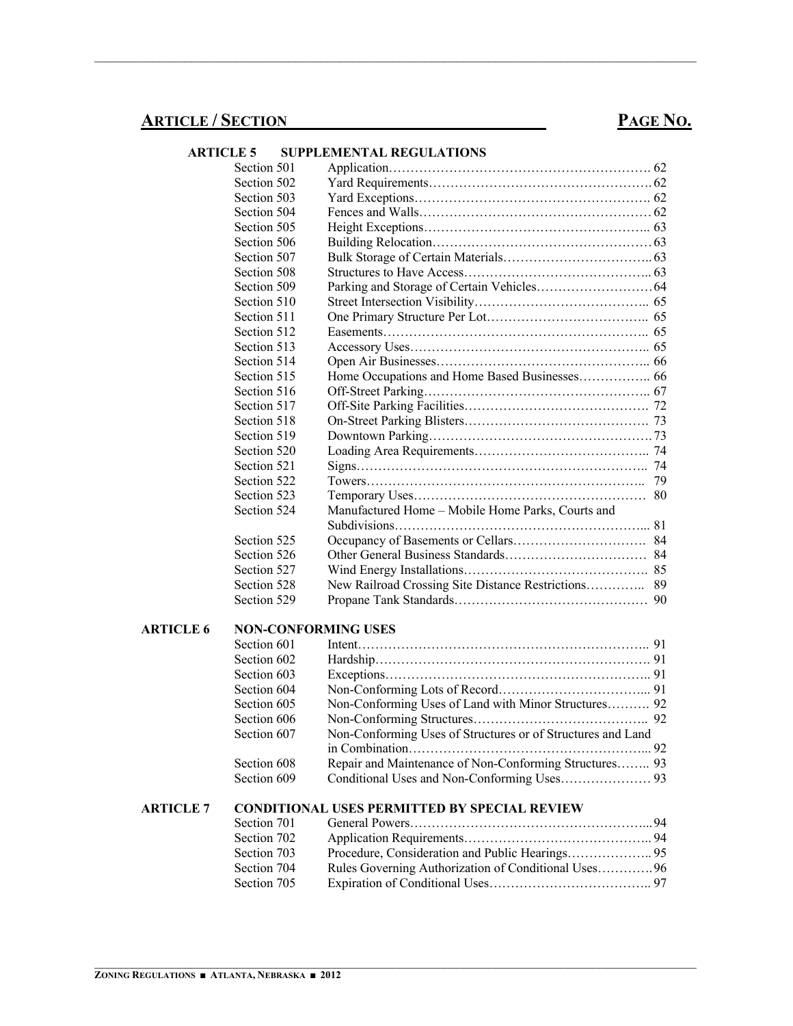### **ARTICLE / SECTION PAGE NO.**

|                  | <b>ARTICLE 5</b>           | <b>SUPPLEMENTAL REGULATIONS</b>                             |  |
|------------------|----------------------------|-------------------------------------------------------------|--|
|                  | Section 501                |                                                             |  |
|                  | Section 502                |                                                             |  |
|                  | Section 503                |                                                             |  |
|                  | Section 504                |                                                             |  |
|                  | Section 505                |                                                             |  |
|                  | Section 506                |                                                             |  |
|                  | Section 507                |                                                             |  |
|                  | Section 508                |                                                             |  |
|                  | Section 509                |                                                             |  |
|                  | Section 510                |                                                             |  |
|                  | Section 511                |                                                             |  |
|                  | Section 512                |                                                             |  |
|                  | Section 513                |                                                             |  |
|                  | Section 514                |                                                             |  |
|                  | Section 515                | Home Occupations and Home Based Businesses 66               |  |
|                  | Section 516                |                                                             |  |
|                  | Section 517                |                                                             |  |
|                  | Section 518                |                                                             |  |
|                  | Section 519                |                                                             |  |
|                  | Section 520                |                                                             |  |
|                  | Section 521                |                                                             |  |
|                  | Section 522                |                                                             |  |
|                  | Section 523                |                                                             |  |
|                  | Section 524                | Manufactured Home - Mobile Home Parks, Courts and           |  |
|                  |                            |                                                             |  |
|                  | Section 525                |                                                             |  |
|                  | Section 526                |                                                             |  |
|                  | Section 527                |                                                             |  |
|                  | Section 528                | New Railroad Crossing Site Distance Restrictions 89         |  |
|                  | Section 529                |                                                             |  |
| <b>ARTICLE 6</b> | <b>NON-CONFORMING USES</b> |                                                             |  |
|                  | Section 601                |                                                             |  |
|                  | Section 602                |                                                             |  |
|                  | Section 603                |                                                             |  |
|                  | Section 604                |                                                             |  |
|                  | Section 605                | Non-Conforming Uses of Land with Minor Structures 92        |  |
|                  | Section 606                |                                                             |  |
|                  | Section 607                | Non-Conforming Uses of Structures or of Structures and Land |  |
|                  | Section 608                | Repair and Maintenance of Non-Conforming Structures 93      |  |
|                  | Section 609                |                                                             |  |
| <b>ARTICLE 7</b> |                            | <b>CONDITIONAL USES PERMITTED BY SPECIAL REVIEW</b>         |  |
|                  | Section 701                |                                                             |  |
|                  | Section 702                |                                                             |  |
|                  | Section 703                | Procedure, Consideration and Public Hearings 95             |  |
|                  | Section 704                | Rules Governing Authorization of Conditional Uses96         |  |

Section 705 Expiration of Conditional Uses……………………………….. 97